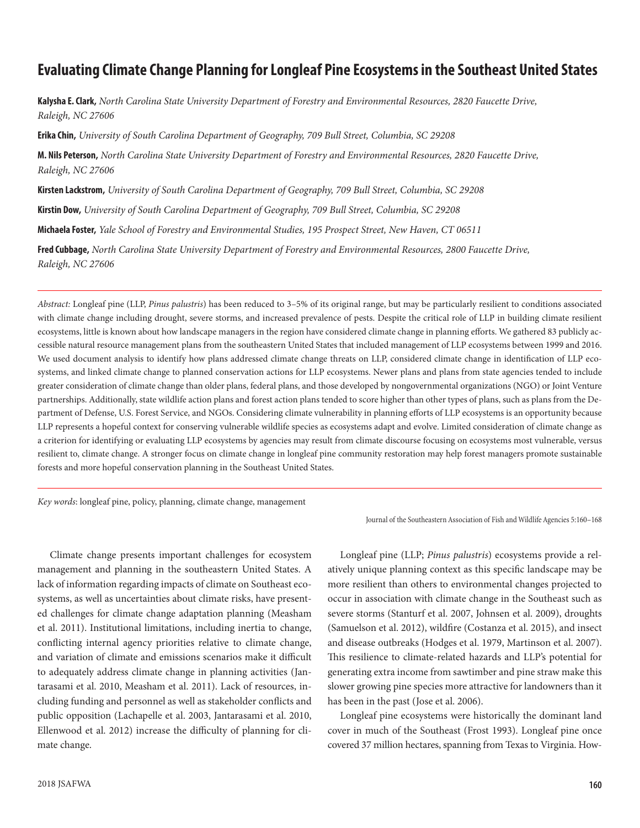# **Evaluating Climate Change Planning for Longleaf Pine Ecosystems in the Southeast United States**

**Kalysha E. Clark,** *North Carolina State University Department of Forestry and Environmental Resources, 2820 Faucette Drive, Raleigh, NC 27606*

**Erika Chin,** *University of South Carolina Department of Geography, 709 Bull Street, Columbia, SC 29208*

**M. Nils Peterson,** *North Carolina State University Department of Forestry and Environmental Resources, 2820 Faucette Drive, Raleigh, NC 27606*

**Kirsten Lackstrom,** *University of South Carolina Department of Geography, 709 Bull Street, Columbia, SC 29208*

**Kirstin Dow,** *University of South Carolina Department of Geography, 709 Bull Street, Columbia, SC 29208*

**Michaela Foster,** *Yale School of Forestry and Environmental Studies, 195 Prospect Street, New Haven, CT 06511*

**Fred Cubbage,** *North Carolina State University Department of Forestry and Environmental Resources, 2800 Faucette Drive, Raleigh, NC 27606*

*Abstract:* Longleaf pine (LLP, *Pinus palustris*) has been reduced to 3–5% of its original range, but may be particularly resilient to conditions associated with climate change including drought, severe storms, and increased prevalence of pests. Despite the critical role of LLP in building climate resilient ecosystems, little is known about how landscape managers in the region have considered climate change in planning efforts. We gathered 83 publicly accessible natural resource management plans from the southeastern United States that included management of LLP ecosystems between 1999 and 2016. We used document analysis to identify how plans addressed climate change threats on LLP, considered climate change in identification of LLP ecosystems, and linked climate change to planned conservation actions for LLP ecosystems. Newer plans and plans from state agencies tended to include greater consideration of climate change than older plans, federal plans, and those developed by nongovernmental organizations (NGO) or Joint Venture partnerships. Additionally, state wildlife action plans and forest action plans tended to score higher than other types of plans, such as plans from the Department of Defense, U.S. Forest Service, and NGOs. Considering climate vulnerability in planning efforts of LLP ecosystems is an opportunity because LLP represents a hopeful context for conserving vulnerable wildlife species as ecosystems adapt and evolve. Limited consideration of climate change as a criterion for identifying or evaluating LLP ecosystems by agencies may result from climate discourse focusing on ecosystems most vulnerable, versus resilient to, climate change. A stronger focus on climate change in longleaf pine community restoration may help forest managers promote sustainable forests and more hopeful conservation planning in the Southeast United States.

*Key words*: longleaf pine, policy, planning, climate change, management

Climate change presents important challenges for ecosystem management and planning in the southeastern United States. A lack of information regarding impacts of climate on Southeast ecosystems, as well as uncertainties about climate risks, have presented challenges for climate change adaptation planning (Measham et al. 2011). Institutional limitations, including inertia to change, conflicting internal agency priorities relative to climate change, and variation of climate and emissions scenarios make it difficult to adequately address climate change in planning activities (Jantarasami et al. 2010, Measham et al. 2011). Lack of resources, including funding and personnel as well as stakeholder conflicts and public opposition (Lachapelle et al. 2003, Jantarasami et al. 2010, Ellenwood et al. 2012) increase the difficulty of planning for climate change.

2018 JSAFWA

Journal of the Southeastern Association of Fish and Wildlife Agencies 5:160–168

Longleaf pine (LLP; *Pinus palustris*) ecosystems provide a relatively unique planning context as this specific landscape may be more resilient than others to environmental changes projected to occur in association with climate change in the Southeast such as severe storms (Stanturf et al. 2007, Johnsen et al. 2009), droughts (Samuelson et al. 2012), wildfire (Costanza et al. 2015), and insect and disease outbreaks (Hodges et al. 1979, Martinson et al. 2007). This resilience to climate-related hazards and LLP's potential for generating extra income from sawtimber and pine straw make this slower growing pine species more attractive for landowners than it has been in the past (Jose et al. 2006).

Longleaf pine ecosystems were historically the dominant land cover in much of the Southeast (Frost 1993). Longleaf pine once covered 37 million hectares, spanning from Texas to Virginia. How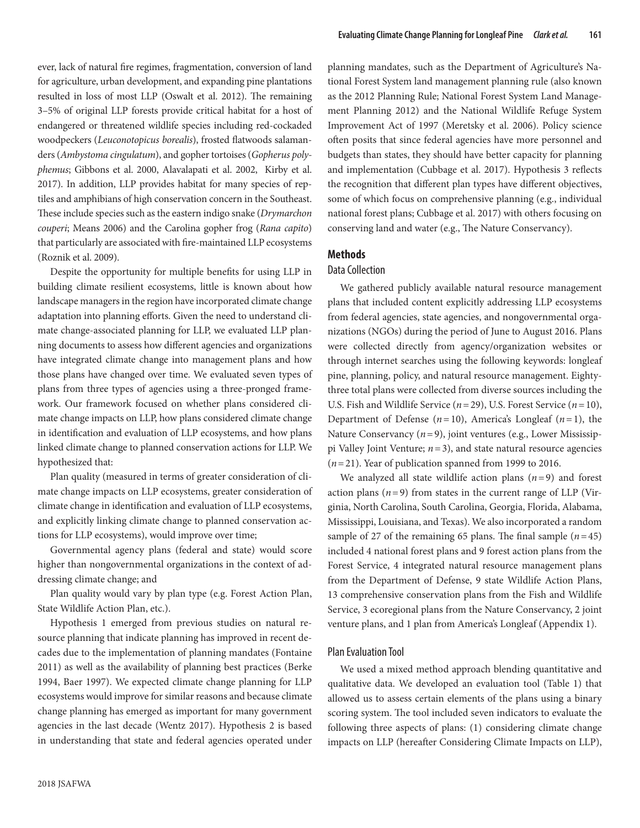ever, lack of natural fire regimes, fragmentation, conversion of land for agriculture, urban development, and expanding pine plantations resulted in loss of most LLP (Oswalt et al. 2012). The remaining 3–5% of original LLP forests provide critical habitat for a host of endangered or threatened wildlife species including red-cockaded woodpeckers (*Leuconotopicus borealis*), frosted flatwoods salamanders (*Ambystoma cingulatum*), and gopher tortoises (*Gopherus polyphemus*; Gibbons et al. 2000, Alavalapati et al. 2002, Kirby et al. 2017). In addition, LLP provides habitat for many species of reptiles and amphibians of high conservation concern in the Southeast. These include species such as the eastern indigo snake (*Drymarchon couperi*; Means 2006) and the Carolina gopher frog (*Rana capito*) that particularly are associated with fire-maintained LLP ecosystems (Roznik et al. 2009).

Despite the opportunity for multiple benefits for using LLP in building climate resilient ecosystems, little is known about how landscape managers in the region have incorporated climate change adaptation into planning efforts. Given the need to understand climate change-associated planning for LLP, we evaluated LLP planning documents to assess how different agencies and organizations have integrated climate change into management plans and how those plans have changed over time. We evaluated seven types of plans from three types of agencies using a three-pronged framework. Our framework focused on whether plans considered climate change impacts on LLP, how plans considered climate change in identification and evaluation of LLP ecosystems, and how plans linked climate change to planned conservation actions for LLP. We hypothesized that:

Plan quality (measured in terms of greater consideration of climate change impacts on LLP ecosystems, greater consideration of climate change in identification and evaluation of LLP ecosystems, and explicitly linking climate change to planned conservation actions for LLP ecosystems), would improve over time;

Governmental agency plans (federal and state) would score higher than nongovernmental organizations in the context of addressing climate change; and

Plan quality would vary by plan type (e.g. Forest Action Plan, State Wildlife Action Plan, etc.).

Hypothesis 1 emerged from previous studies on natural resource planning that indicate planning has improved in recent decades due to the implementation of planning mandates (Fontaine 2011) as well as the availability of planning best practices (Berke 1994, Baer 1997). We expected climate change planning for LLP ecosystems would improve for similar reasons and because climate change planning has emerged as important for many government agencies in the last decade (Wentz 2017). Hypothesis 2 is based in understanding that state and federal agencies operated under planning mandates, such as the Department of Agriculture's National Forest System land management planning rule (also known as the 2012 Planning Rule; National Forest System Land Management Planning 2012) and the National Wildlife Refuge System Improvement Act of 1997 (Meretsky et al. 2006). Policy science often posits that since federal agencies have more personnel and budgets than states, they should have better capacity for planning and implementation (Cubbage et al. 2017). Hypothesis 3 reflects the recognition that different plan types have different objectives, some of which focus on comprehensive planning (e.g., individual national forest plans; Cubbage et al. 2017) with others focusing on conserving land and water (e.g., The Nature Conservancy).

## **Methods**

### Data Collection

We gathered publicly available natural resource management plans that included content explicitly addressing LLP ecosystems from federal agencies, state agencies, and nongovernmental organizations (NGOs) during the period of June to August 2016. Plans were collected directly from agency/organization websites or through internet searches using the following keywords: longleaf pine, planning, policy, and natural resource management. Eightythree total plans were collected from diverse sources including the U.S. Fish and Wildlife Service (*n*=29), U.S. Forest Service (*n*=10), Department of Defense  $(n=10)$ , America's Longleaf  $(n=1)$ , the Nature Conservancy (*n*=9), joint ventures (e.g., Lower Mississippi Valley Joint Venture; *n*=3), and state natural resource agencies (*n*=21). Year of publication spanned from 1999 to 2016.

We analyzed all state wildlife action plans (*n*=9) and forest action plans  $(n=9)$  from states in the current range of LLP (Virginia, North Carolina, South Carolina, Georgia, Florida, Alabama, Mississippi, Louisiana, and Texas). We also incorporated a random sample of 27 of the remaining 65 plans. The final sample  $(n=45)$ included 4 national forest plans and 9 forest action plans from the Forest Service, 4 integrated natural resource management plans from the Department of Defense, 9 state Wildlife Action Plans, 13 comprehensive conservation plans from the Fish and Wildlife Service, 3 ecoregional plans from the Nature Conservancy, 2 joint venture plans, and 1 plan from America's Longleaf (Appendix 1).

#### Plan Evaluation Tool

We used a mixed method approach blending quantitative and qualitative data. We developed an evaluation tool (Table 1) that allowed us to assess certain elements of the plans using a binary scoring system. The tool included seven indicators to evaluate the following three aspects of plans: (1) considering climate change impacts on LLP (hereafter Considering Climate Impacts on LLP),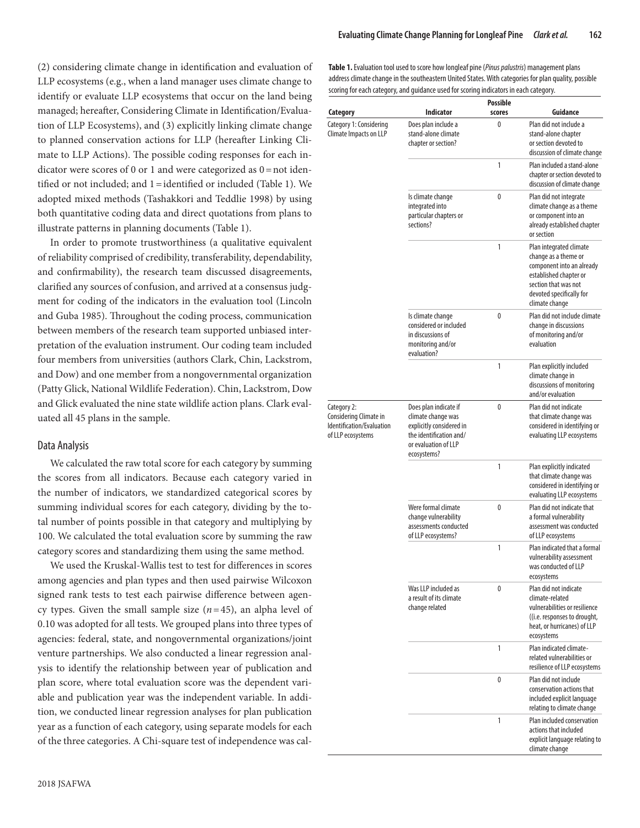(2) considering climate change in identification and evaluation of LLP ecosystems (e.g., when a land manager uses climate change to identify or evaluate LLP ecosystems that occur on the land being managed; hereafter, Considering Climate in Identification/Evaluation of LLP Ecosystems), and (3) explicitly linking climate change to planned conservation actions for LLP (hereafter Linking Climate to LLP Actions). The possible coding responses for each indicator were scores of 0 or 1 and were categorized as  $0 =$  not identified or not included; and 1=identified or included (Table 1). We adopted mixed methods (Tashakkori and Teddlie 1998) by using both quantitative coding data and direct quotations from plans to illustrate patterns in planning documents (Table 1).

In order to promote trustworthiness (a qualitative equivalent of reliability comprised of credibility, transferability, dependability, and confirmability), the research team discussed disagreements, clarified any sources of confusion, and arrived at a consensus judgment for coding of the indicators in the evaluation tool (Lincoln and Guba 1985). Throughout the coding process, communication between members of the research team supported unbiased interpretation of the evaluation instrument. Our coding team included four members from universities (authors Clark, Chin, Lackstrom, and Dow) and one member from a nongovernmental organization (Patty Glick, National Wildlife Federation). Chin, Lackstrom, Dow and Glick evaluated the nine state wildlife action plans. Clark evaluated all 45 plans in the sample.

#### Data Analysis

We calculated the raw total score for each category by summing the scores from all indicators. Because each category varied in the number of indicators, we standardized categorical scores by summing individual scores for each category, dividing by the total number of points possible in that category and multiplying by 100. We calculated the total evaluation score by summing the raw category scores and standardizing them using the same method.

We used the Kruskal-Wallis test to test for differences in scores among agencies and plan types and then used pairwise Wilcoxon signed rank tests to test each pairwise difference between agency types. Given the small sample size  $(n=45)$ , an alpha level of 0.10 was adopted for all tests. We grouped plans into three types of agencies: federal, state, and nongovernmental organizations/joint venture partnerships. We also conducted a linear regression analysis to identify the relationship between year of publication and plan score, where total evaluation score was the dependent variable and publication year was the independent variable. In addition, we conducted linear regression analyses for plan publication year as a function of each category, using separate models for each of the three categories. A Chi-square test of independence was cal**Table 1.** Evaluation tool used to score how longleaf pine (*Pinus palustris*) management plans address climate change in the southeastern United States. With categories for plan quality, possible scoring for each category, and guidance used for scoring indicators in each category.

|                                                                                         |                                                                                                                                           | <b>Possible</b> |                                                                                                                                                                              |
|-----------------------------------------------------------------------------------------|-------------------------------------------------------------------------------------------------------------------------------------------|-----------------|------------------------------------------------------------------------------------------------------------------------------------------------------------------------------|
| Category                                                                                | <b>Indicator</b>                                                                                                                          | scores          | Guidance                                                                                                                                                                     |
| Category 1: Considering<br>Climate Impacts on LLP                                       | Does plan include a<br>stand-alone climate<br>chapter or section?                                                                         | 0               | Plan did not include a<br>stand-alone chapter<br>or section devoted to<br>discussion of climate change                                                                       |
|                                                                                         |                                                                                                                                           | 1               | Plan included a stand-alone<br>chapter or section devoted to<br>discussion of climate change                                                                                 |
|                                                                                         | Is climate change<br>integrated into<br>particular chapters or<br>sections?                                                               | 0               | Plan did not integrate<br>climate change as a theme<br>or component into an<br>already established chapter<br>or section                                                     |
|                                                                                         |                                                                                                                                           | 1               | Plan integrated climate<br>change as a theme or<br>component into an already<br>established chapter or<br>section that was not<br>devoted specifically for<br>climate change |
|                                                                                         | Is climate change<br>considered or included<br>in discussions of<br>monitoring and/or<br>evaluation?                                      | 0               | Plan did not include climate<br>change in discussions<br>of monitoring and/or<br>evaluation                                                                                  |
|                                                                                         |                                                                                                                                           | 1               | Plan explicitly included<br>climate change in<br>discussions of monitoring<br>and/or evaluation                                                                              |
| Category 2:<br>Considering Climate in<br>Identification/Evaluation<br>of LLP ecosystems | Does plan indicate if<br>climate change was<br>explicitly considered in<br>the identification and/<br>or evaluation of LLP<br>ecosystems? | $\mathbf{0}$    | Plan did not indicate<br>that climate change was<br>considered in identifying or<br>evaluating LLP ecosystems                                                                |
|                                                                                         |                                                                                                                                           | 1               | Plan explicitly indicated<br>that climate change was<br>considered in identifying or<br>evaluating LLP ecosystems                                                            |
|                                                                                         | Were formal climate<br>change vulnerability<br>assessments conducted<br>of LLP ecosystems?                                                | 0               | Plan did not indicate that<br>a formal vulnerability<br>assessment was conducted<br>of LLP ecosystems                                                                        |
|                                                                                         |                                                                                                                                           | 1               | Plan indicated that a formal<br>vulnerability assessment<br>was conducted of LLP<br>ecosystems                                                                               |
|                                                                                         | Was LLP included as<br>a result of its climate<br>change related                                                                          | 0               | Plan did not indicate<br>climate-related<br>vulnerabilities or resilience<br>((i.e. responses to drought,<br>heat, or hurricanes) of LLP<br>ecosystems                       |
|                                                                                         |                                                                                                                                           | 1               | Plan indicated climate-<br>related vulnerabilities or<br>resilience of LLP ecosystems                                                                                        |
|                                                                                         |                                                                                                                                           | 0               | Plan did not include<br>conservation actions that<br>included explicit language<br>relating to climate change                                                                |
|                                                                                         |                                                                                                                                           | 1               | Plan included conservation<br>actions that included<br>explicit language relating to<br>climate change                                                                       |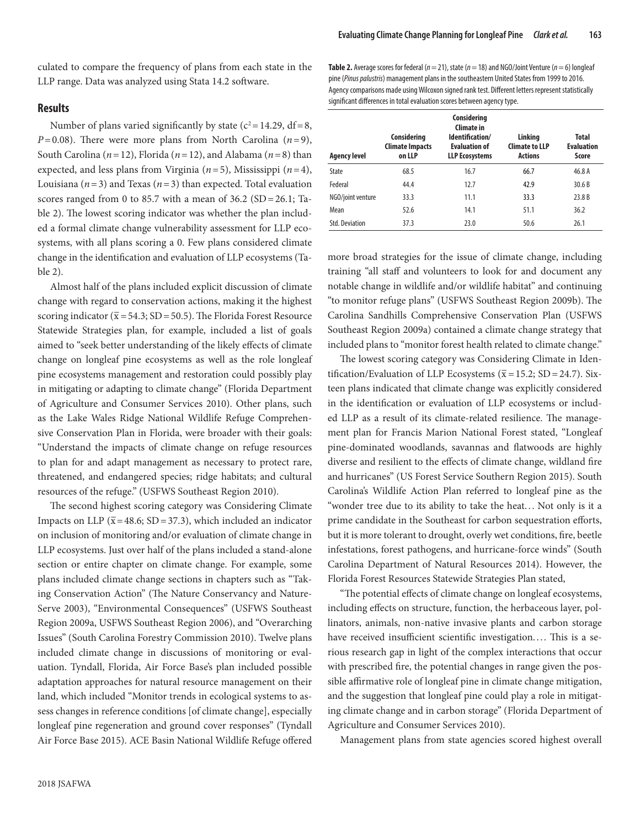culated to compare the frequency of plans from each state in the LLP range. Data was analyzed using Stata 14.2 software.

#### **Results**

Number of plans varied significantly by state ( $c^2$  = 14.29, df = 8, *P*=0.08). There were more plans from North Carolina (*n*=9), South Carolina (*n*=12), Florida (*n*=12), and Alabama (*n*=8) than expected, and less plans from Virginia (*n*=5), Mississippi (*n*=4), Louisiana ( $n=3$ ) and Texas ( $n=3$ ) than expected. Total evaluation scores ranged from 0 to 85.7 with a mean of  $36.2$  (SD = 26.1; Table 2). The lowest scoring indicator was whether the plan included a formal climate change vulnerability assessment for LLP ecosystems, with all plans scoring a 0. Few plans considered climate change in the identification and evaluation of LLP ecosystems (Table 2).

Almost half of the plans included explicit discussion of climate change with regard to conservation actions, making it the highest scoring indicator ( $\overline{x}$  = 54.3; SD = 50.5). The Florida Forest Resource Statewide Strategies plan, for example, included a list of goals aimed to "seek better understanding of the likely effects of climate change on longleaf pine ecosystems as well as the role longleaf pine ecosystems management and restoration could possibly play in mitigating or adapting to climate change" (Florida Department of Agriculture and Consumer Services 2010). Other plans, such as the Lake Wales Ridge National Wildlife Refuge Comprehensive Conservation Plan in Florida, were broader with their goals: "Understand the impacts of climate change on refuge resources to plan for and adapt management as necessary to protect rare, threatened, and endangered species; ridge habitats; and cultural resources of the refuge." (USFWS Southeast Region 2010).

The second highest scoring category was Considering Climate Impacts on LLP ( $\bar{x}$ =48.6; SD = 37.3), which included an indicator on inclusion of monitoring and/or evaluation of climate change in LLP ecosystems. Just over half of the plans included a stand-alone section or entire chapter on climate change. For example, some plans included climate change sections in chapters such as "Taking Conservation Action" (The Nature Conservancy and Nature-Serve 2003), "Environmental Consequences" (USFWS Southeast Region 2009a, USFWS Southeast Region 2006), and "Overarching Issues" (South Carolina Forestry Commission 2010). Twelve plans included climate change in discussions of monitoring or evaluation. Tyndall, Florida, Air Force Base's plan included possible adaptation approaches for natural resource management on their land, which included "Monitor trends in ecological systems to assess changes in reference conditions [of climate change], especially longleaf pine regeneration and ground cover responses" (Tyndall Air Force Base 2015). ACE Basin National Wildlife Refuge offered

**Table 2.** Average scores for federal ( $n = 21$ ), state ( $n = 18$ ) and NGO/Joint Venture ( $n = 6$ ) longleaf pine (*Pinus palustris*) management plans in the southeastern United States from 1999 to 2016. Agency comparisons made using Wilcoxon signed rank test. Different letters represent statistically significant differences in total evaluation scores between agency type.

| <b>Agency level</b>   | Considering<br><b>Climate Impacts</b><br>on LLP | Considering<br>Climate in<br>Identification/<br><b>Evaluation of</b><br><b>LLP Ecosystems</b> | Linking<br><b>Climate to LLP</b><br><b>Actions</b> | <b>Total</b><br><b>Evaluation</b><br>Score |
|-----------------------|-------------------------------------------------|-----------------------------------------------------------------------------------------------|----------------------------------------------------|--------------------------------------------|
| State                 | 68.5                                            | 16.7                                                                                          | 66.7                                               | 46.8 A                                     |
| Federal               | 44.4                                            | 12.7                                                                                          | 42.9                                               | 30.6B                                      |
| NGO/joint venture     | 33.3                                            | 11.1                                                                                          | 33.3                                               | 23.8 <sub>B</sub>                          |
| Mean                  | 52.6                                            | 14.1                                                                                          | 51.1                                               | 36.2                                       |
| <b>Std. Deviation</b> | 37.3                                            | 23.0                                                                                          | 50.6                                               | 26.1                                       |

more broad strategies for the issue of climate change, including training "all staff and volunteers to look for and document any notable change in wildlife and/or wildlife habitat" and continuing "to monitor refuge plans" (USFWS Southeast Region 2009b). The Carolina Sandhills Comprehensive Conservation Plan (USFWS Southeast Region 2009a) contained a climate change strategy that included plans to "monitor forest health related to climate change."

The lowest scoring category was Considering Climate in Identification/Evaluation of LLP Ecosystems ( $\overline{x}$  = 15.2; SD = 24.7). Sixteen plans indicated that climate change was explicitly considered in the identification or evaluation of LLP ecosystems or included LLP as a result of its climate-related resilience. The management plan for Francis Marion National Forest stated, "Longleaf pine-dominated woodlands, savannas and flatwoods are highly diverse and resilient to the effects of climate change, wildland fire and hurricanes" (US Forest Service Southern Region 2015). South Carolina's Wildlife Action Plan referred to longleaf pine as the "wonder tree due to its ability to take the heat. . . Not only is it a prime candidate in the Southeast for carbon sequestration efforts, but it is more tolerant to drought, overly wet conditions, fire, beetle infestations, forest pathogens, and hurricane-force winds" (South Carolina Department of Natural Resources 2014). However, the Florida Forest Resources Statewide Strategies Plan stated,

"The potential effects of climate change on longleaf ecosystems, including effects on structure, function, the herbaceous layer, pollinators, animals, non-native invasive plants and carbon storage have received insufficient scientific investigation.... This is a serious research gap in light of the complex interactions that occur with prescribed fire, the potential changes in range given the possible affirmative role of longleaf pine in climate change mitigation, and the suggestion that longleaf pine could play a role in mitigating climate change and in carbon storage" (Florida Department of Agriculture and Consumer Services 2010).

Management plans from state agencies scored highest overall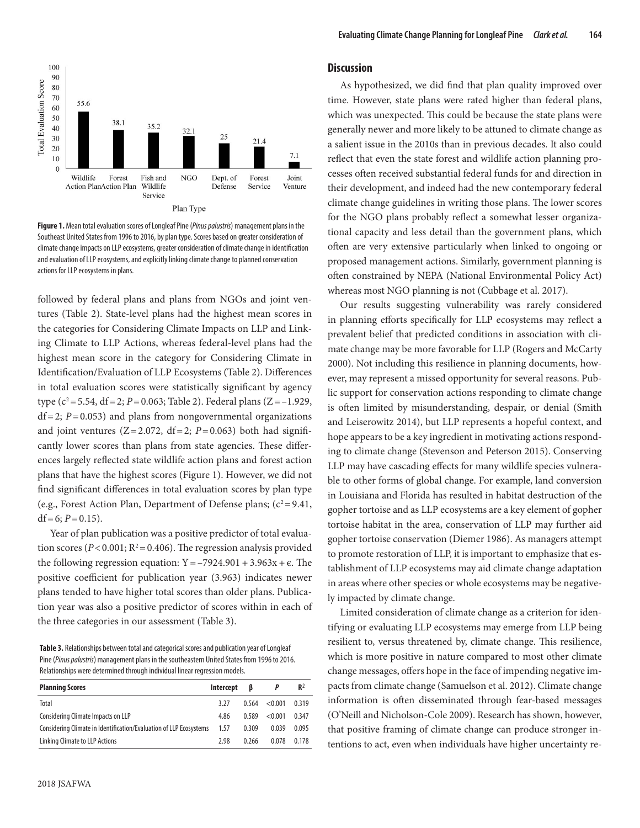

**Figure 1.** Mean total evaluation scores of Longleaf Pine (*Pinus palustris*) management plans in the Southeast United States from 1996 to 2016, by plan type. Scores based on greater consideration of climate change impacts on LLP ecosystems, greater consideration of climate change in identification and evaluation of LLP ecosystems, and explicitly linking climate change to planned conservation actions for LLP ecosystems in plans.

followed by federal plans and plans from NGOs and joint ventures (Table 2). State-level plans had the highest mean scores in the categories for Considering Climate Impacts on LLP and Linking Climate to LLP Actions, whereas federal-level plans had the highest mean score in the category for Considering Climate in Identification/Evaluation of LLP Ecosystems (Table 2). Differences in total evaluation scores were statistically significant by agency type ( $c^2$ =5.54, df = 2; *P* = 0.063; Table 2). Federal plans (Z = -1.929,  $df = 2$ ;  $P = 0.053$ ) and plans from nongovernmental organizations and joint ventures  $(Z=2.072, df=2; P=0.063)$  both had significantly lower scores than plans from state agencies. These differences largely reflected state wildlife action plans and forest action plans that have the highest scores (Figure 1). However, we did not find significant differences in total evaluation scores by plan type (e.g., Forest Action Plan, Department of Defense plans;  $(c^2 = 9.41,$ df = 6;  $P = 0.15$ ).

Year of plan publication was a positive predictor of total evaluation scores ( $P < 0.001$ ;  $R^2 = 0.406$ ). The regression analysis provided the following regression equation:  $Y = -7924.901 + 3.963x + \epsilon$ . The positive coefficient for publication year (3.963) indicates newer plans tended to have higher total scores than older plans. Publication year was also a positive predictor of scores within in each of the three categories in our assessment (Table 3).

**Table 3.** Relationships between total and categorical scores and publication year of Longleaf Pine (*Pinus palustris*) management plans in the southeastern United States from 1996 to 2016. Relationships were determined through individual linear regression models.

| <b>Planning Scores</b>                                             | Intercept | ß     |         | $R^2$ |
|--------------------------------------------------------------------|-----------|-------|---------|-------|
| Total                                                              | 3.27      | 0.564 | < 0.001 | 0.319 |
| Considering Climate Impacts on LLP                                 | 4.86      | 0.589 | < 0.001 | 0.347 |
| Considering Climate in Identification/Evaluation of LLP Ecosystems | 1.57      | 0.309 | 0.039   | 0.095 |
| Linking Climate to LLP Actions                                     | 2.98      | 0.266 | 0.078   | 0.178 |

#### **Discussion**

As hypothesized, we did find that plan quality improved over time. However, state plans were rated higher than federal plans, which was unexpected. This could be because the state plans were generally newer and more likely to be attuned to climate change as a salient issue in the 2010s than in previous decades. It also could reflect that even the state forest and wildlife action planning processes often received substantial federal funds for and direction in their development, and indeed had the new contemporary federal climate change guidelines in writing those plans. The lower scores for the NGO plans probably reflect a somewhat lesser organizational capacity and less detail than the government plans, which often are very extensive particularly when linked to ongoing or proposed management actions. Similarly, government planning is often constrained by NEPA (National Environmental Policy Act) whereas most NGO planning is not (Cubbage et al. 2017).

Our results suggesting vulnerability was rarely considered in planning efforts specifically for LLP ecosystems may reflect a prevalent belief that predicted conditions in association with climate change may be more favorable for LLP (Rogers and McCarty 2000). Not including this resilience in planning documents, however, may represent a missed opportunity for several reasons. Public support for conservation actions responding to climate change is often limited by misunderstanding, despair, or denial (Smith and Leiserowitz 2014), but LLP represents a hopeful context, and hope appears to be a key ingredient in motivating actions responding to climate change (Stevenson and Peterson 2015). Conserving LLP may have cascading effects for many wildlife species vulnerable to other forms of global change. For example, land conversion in Louisiana and Florida has resulted in habitat destruction of the gopher tortoise and as LLP ecosystems are a key element of gopher tortoise habitat in the area, conservation of LLP may further aid gopher tortoise conservation (Diemer 1986). As managers attempt to promote restoration of LLP, it is important to emphasize that establishment of LLP ecosystems may aid climate change adaptation in areas where other species or whole ecosystems may be negatively impacted by climate change.

Limited consideration of climate change as a criterion for identifying or evaluating LLP ecosystems may emerge from LLP being resilient to, versus threatened by, climate change. This resilience, which is more positive in nature compared to most other climate change messages, offers hope in the face of impending negative impacts from climate change (Samuelson et al. 2012). Climate change information is often disseminated through fear-based messages (O'Neill and Nicholson-Cole 2009). Research has shown, however, that positive framing of climate change can produce stronger intentions to act, even when individuals have higher uncertainty re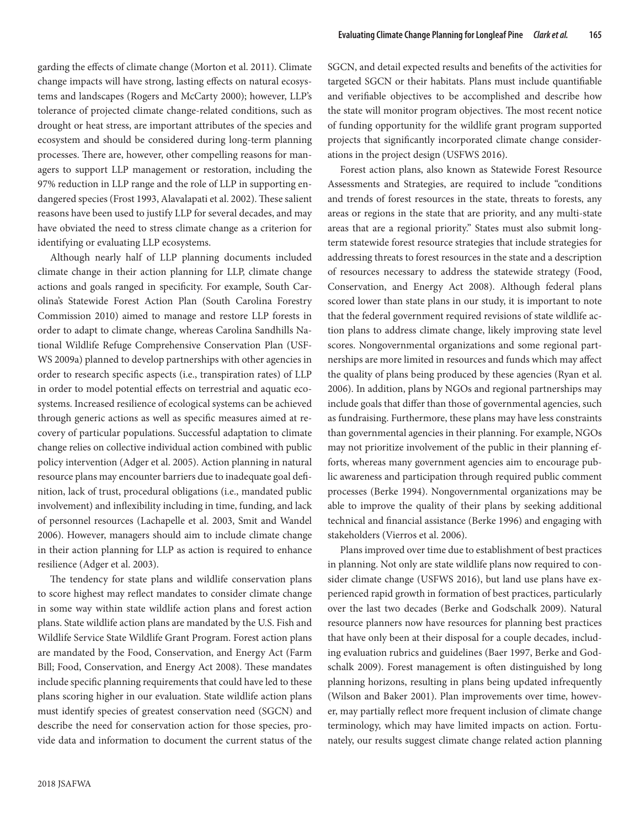garding the effects of climate change (Morton et al. 2011). Climate change impacts will have strong, lasting effects on natural ecosystems and landscapes (Rogers and McCarty 2000); however, LLP's tolerance of projected climate change-related conditions, such as drought or heat stress, are important attributes of the species and ecosystem and should be considered during long-term planning processes. There are, however, other compelling reasons for managers to support LLP management or restoration, including the 97% reduction in LLP range and the role of LLP in supporting endangered species (Frost 1993, Alavalapati et al. 2002). These salient reasons have been used to justify LLP for several decades, and may have obviated the need to stress climate change as a criterion for identifying or evaluating LLP ecosystems.

Although nearly half of LLP planning documents included climate change in their action planning for LLP, climate change actions and goals ranged in specificity. For example, South Carolina's Statewide Forest Action Plan (South Carolina Forestry Commission 2010) aimed to manage and restore LLP forests in order to adapt to climate change, whereas Carolina Sandhills National Wildlife Refuge Comprehensive Conservation Plan (USF-WS 2009a) planned to develop partnerships with other agencies in order to research specific aspects (i.e., transpiration rates) of LLP in order to model potential effects on terrestrial and aquatic ecosystems. Increased resilience of ecological systems can be achieved through generic actions as well as specific measures aimed at recovery of particular populations. Successful adaptation to climate change relies on collective individual action combined with public policy intervention (Adger et al. 2005). Action planning in natural resource plans may encounter barriers due to inadequate goal definition, lack of trust, procedural obligations (i.e., mandated public involvement) and inflexibility including in time, funding, and lack of personnel resources (Lachapelle et al. 2003, Smit and Wandel 2006). However, managers should aim to include climate change in their action planning for LLP as action is required to enhance resilience (Adger et al. 2003).

The tendency for state plans and wildlife conservation plans to score highest may reflect mandates to consider climate change in some way within state wildlife action plans and forest action plans. State wildlife action plans are mandated by the U.S. Fish and Wildlife Service State Wildlife Grant Program. Forest action plans are mandated by the Food, Conservation, and Energy Act (Farm Bill; Food, Conservation, and Energy Act 2008). These mandates include specific planning requirements that could have led to these plans scoring higher in our evaluation. State wildlife action plans must identify species of greatest conservation need (SGCN) and describe the need for conservation action for those species, provide data and information to document the current status of the

2018 JSAFWA

SGCN, and detail expected results and benefits of the activities for targeted SGCN or their habitats. Plans must include quantifiable and verifiable objectives to be accomplished and describe how the state will monitor program objectives. The most recent notice of funding opportunity for the wildlife grant program supported projects that significantly incorporated climate change considerations in the project design (USFWS 2016).

Forest action plans, also known as Statewide Forest Resource Assessments and Strategies, are required to include "conditions and trends of forest resources in the state, threats to forests, any areas or regions in the state that are priority, and any multi-state areas that are a regional priority." States must also submit longterm statewide forest resource strategies that include strategies for addressing threats to forest resources in the state and a description of resources necessary to address the statewide strategy (Food, Conservation, and Energy Act 2008). Although federal plans scored lower than state plans in our study, it is important to note that the federal government required revisions of state wildlife action plans to address climate change, likely improving state level scores. Nongovernmental organizations and some regional partnerships are more limited in resources and funds which may affect the quality of plans being produced by these agencies (Ryan et al. 2006). In addition, plans by NGOs and regional partnerships may include goals that differ than those of governmental agencies, such as fundraising. Furthermore, these plans may have less constraints than governmental agencies in their planning. For example, NGOs may not prioritize involvement of the public in their planning efforts, whereas many government agencies aim to encourage public awareness and participation through required public comment processes (Berke 1994). Nongovernmental organizations may be able to improve the quality of their plans by seeking additional technical and financial assistance (Berke 1996) and engaging with stakeholders (Vierros et al. 2006).

Plans improved over time due to establishment of best practices in planning. Not only are state wildlife plans now required to consider climate change (USFWS 2016), but land use plans have experienced rapid growth in formation of best practices, particularly over the last two decades (Berke and Godschalk 2009). Natural resource planners now have resources for planning best practices that have only been at their disposal for a couple decades, including evaluation rubrics and guidelines (Baer 1997, Berke and Godschalk 2009). Forest management is often distinguished by long planning horizons, resulting in plans being updated infrequently (Wilson and Baker 2001). Plan improvements over time, however, may partially reflect more frequent inclusion of climate change terminology, which may have limited impacts on action. Fortunately, our results suggest climate change related action planning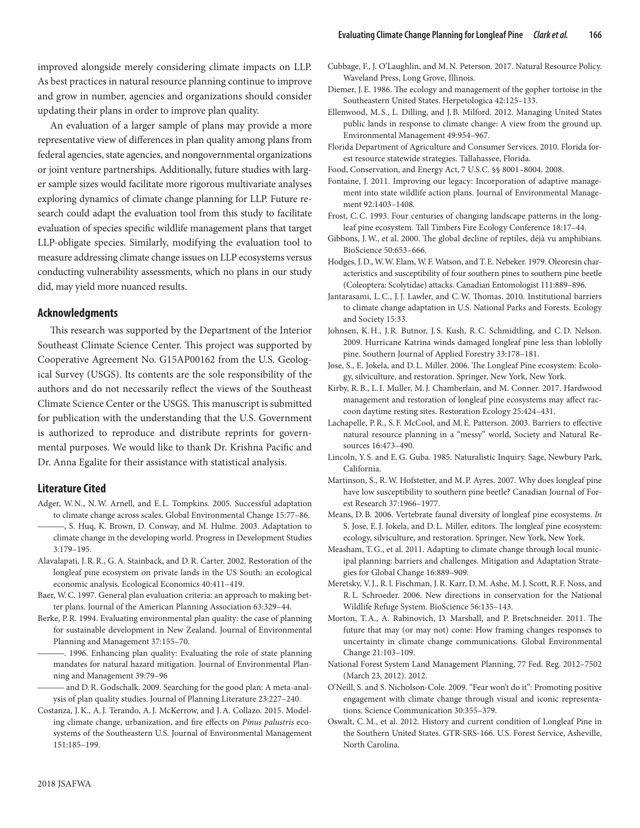improved alongside merely considering climate impacts on LLP. As best practices in natural resource planning continue to improve and grow in number, agencies and organizations should consider updating their plans in order to improve plan quality.

An evaluation of a larger sample of plans may provide a more representative view of differences in plan quality among plans from federal agencies, state agencies, and nongovernmental organizations or joint venture partnerships. Additionally, future studies with larger sample sizes would facilitate more rigorous multivariate analyses exploring dynamics of climate change planning for LLP. Future research could adapt the evaluation tool from this study to facilitate evaluation of species specific wildlife management plans that target LLP-obligate species. Similarly, modifying the evaluation tool to measure addressing climate change issues on LLP ecosystems versus conducting vulnerability assessments, which no plans in our study did, may yield more nuanced results.

#### **Acknowledgments**

This research was supported by the Department of the Interior Southeast Climate Science Center. This project was supported by Cooperative Agreement No. G15AP00162 from the U.S. Geological Survey (USGS). Its contents are the sole responsibility of the authors and do not necessarily reflect the views of the Southeast Climate Science Center or the USGS. This manuscript is submitted for publication with the understanding that the U.S. Government is authorized to reproduce and distribute reprints for governmental purposes. We would like to thank Dr. Krishna Pacific and Dr. Anna Egalite for their assistance with statistical analysis.

### **Literature Cited**

- Adger, W.N., N.W. Arnell, and E.L. Tompkins. 2005. Successful adaptation to climate change across scales. Global Environmental Change 15:77–86. -, S. Huq, K. Brown, D. Conway, and M. Hulme. 2003. Adaptation to
- climate change in the developing world. Progress in Development Studies 3:179–195.
- Alavalapati, J.R.R., G.A. Stainback, and D.R. Carter. 2002. Restoration of the longleaf pine ecosystem on private lands in the US South: an ecological economic analysis. Ecological Economics 40:411–419.
- Baer, W.C. 1997. General plan evaluation criteria: an approach to making better plans. Journal of the American Planning Association 63:329–44.
- Berke, P.R. 1994. Evaluating environmental plan quality: the case of planning for sustainable development in New Zealand. Journal of Environmental Planning and Management 37:155–70.
	- ———. 1996. Enhancing plan quality: Evaluating the role of state planning mandates for natural hazard mitigation. Journal of Environmental Planning and Management 39:79–96
- and D.R. Godschalk. 2009. Searching for the good plan: A meta-analysis of plan quality studies. Journal of Planning Literature 23:227–240.
- Costanza, J.K., A.J. Terando, A.J. McKerrow, and J.A. Collazo. 2015. Modeling climate change, urbanization, and fire effects on *Pinus palustris* ecosystems of the Southeastern U.S. Journal of Environmental Management 151:185–199.
- Cubbage, F., J. O'Laughlin, and M.N. Peterson. 2017. Natural Resource Policy. Waveland Press, Long Grove, Illinois.
- Diemer, J.E. 1986. The ecology and management of the gopher tortoise in the Southeastern United States. Herpetologica 42:125–133.
- Ellenwood, M. S., L. Dilling, and J.B. Milford. 2012. Managing United States public lands in response to climate change: A view from the ground up. Environmental Management 49:954–967.
- Florida Department of Agriculture and Consumer Services. 2010. Florida forest resource statewide strategies. Tallahassee, Florida.
- Food, Conservation, and Energy Act, 7 U.S.C. §§ 8001–8004. 2008.
- Fontaine, J. 2011. Improving our legacy: Incorporation of adaptive management into state wildlife action plans. Journal of Environmental Management 92:1403–1408.
- Frost, C.C. 1993. Four centuries of changing landscape patterns in the longleaf pine ecosystem. Tall Timbers Fire Ecology Conference 18:17–44.
- Gibbons, J.W., et al. 2000. The global decline of reptiles, déjà vu amphibians. BioScience 50:653–666.
- Hodges, J.D., W.W. Elam, W.F. Watson, and T.E. Nebeker. 1979. Oleoresin characteristics and susceptibility of four southern pines to southern pine beetle (Coleoptera: Scolytidae) attacks. Canadian Entomologist 111:889–896.
- Jantarasami, L.C., J.J. Lawler, and C.W. Thomas. 2010. Institutional barriers to climate change adaptation in U.S. National Parks and Forests. Ecology and Society 15:33.
- Johnsen, K.H., J.R. Butnor, J.S. Kush, R.C. Schmidtling, and C.D. Nelson. 2009. Hurricane Katrina winds damaged longleaf pine less than loblolly pine. Southern Journal of Applied Forestry 33:178–181.
- Jose, S., E. Jokela, and D.L. Miller. 2006. The Longleaf Pine ecosystem: Ecology, silviculture, and restoration. Springer, New York, New York.
- Kirby, R.B., L.I. Muller, M.J. Chamberlain, and M. Conner. 2017. Hardwood management and restoration of longleaf pine ecosystems may affect raccoon daytime resting sites. Restoration Ecology 25:424–431.
- Lachapelle, P.R., S.F. McCool, and M.E. Patterson. 2003. Barriers to effective natural resource planning in a "messy" world, Society and Natural Resources 16:473–490.
- Lincoln, Y. S. and E.G. Guba. 1985. Naturalistic Inquiry. Sage, Newbury Park, California.
- Martinson, S., R.W. Hofstetter, and M.P. Ayres. 2007. Why does longleaf pine have low susceptibility to southern pine beetle? Canadian Journal of Forest Research 37:1966–1977.
- Means, D.B. 2006. Vertebrate faunal diversity of longleaf pine ecosystems. *In* S. Jose, E.J. Jokela, and D.L. Miller, editors. The longleaf pine ecosystem: ecology, silviculture, and restoration. Springer, New York, New York.
- Measham, T.G., et al. 2011. Adapting to climate change through local municipal planning: barriers and challenges. Mitigation and Adaptation Strategies for Global Change 16:889–909.
- Meretsky, V.J., R.l. Fischman, J.R. Karr, D.M. Ashe, M.J. Scott, R.F. Noss, and R.L. Schroeder. 2006. New directions in conservation for the National Wildlife Refuge System. BioScience 56:135–143.
- Morton, T.A., A. Rabinovich, D. Marshall, and P. Bretschneider. 2011. The future that may (or may not) come: How framing changes responses to uncertainty in climate change communications. Global Environmental Change 21:103–109.
- National Forest System Land Management Planning, 77 Fed. Reg. 2012–7502 (March 23, 2012). 2012.
- O'Neill, S. and S. Nicholson-Cole. 2009. "Fear won't do it": Promoting positive engagement with climate change through visual and iconic representations. Science Communication 30:355–379.
- Oswalt, C.M., et al. 2012. History and current condition of Longleaf Pine in the Southern United States. GTR-SRS-166. U.S. Forest Service, Asheville, North Carolina.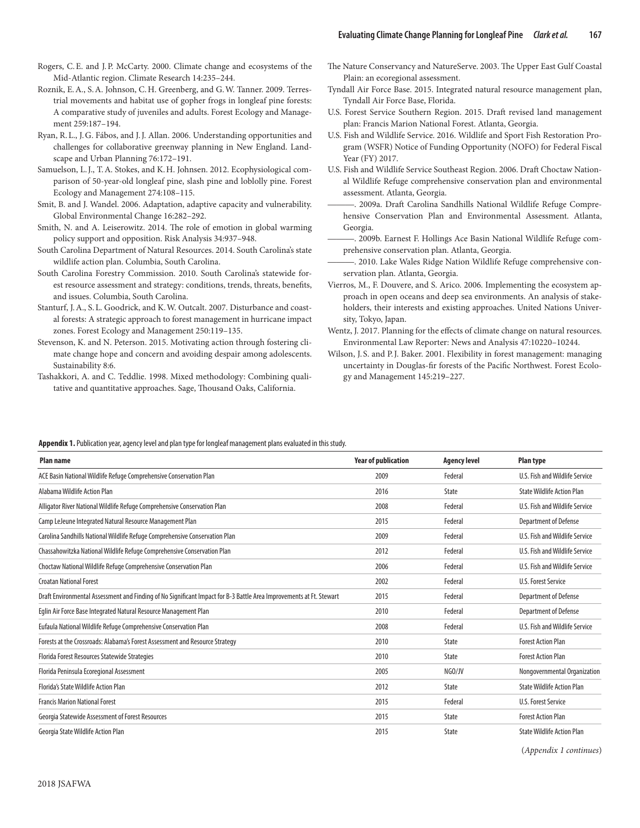- Rogers, C.E. and J.P. McCarty. 2000. Climate change and ecosystems of the Mid-Atlantic region. Climate Research 14:235–244.
- Roznik, E.A., S.A. Johnson, C.H. Greenberg, and G.W. Tanner. 2009. Terrestrial movements and habitat use of gopher frogs in longleaf pine forests: A comparative study of juveniles and adults. Forest Ecology and Management 259:187–194.
- Ryan, R.L., J.G. Fábos, and J.J. Allan. 2006. Understanding opportunities and challenges for collaborative greenway planning in New England. Landscape and Urban Planning 76:172–191.
- Samuelson, L.J., T.A. Stokes, and K.H. Johnsen. 2012. Ecophysiological comparison of 50-year-old longleaf pine, slash pine and loblolly pine. Forest Ecology and Management 274:108–115.
- Smit, B. and J. Wandel. 2006. Adaptation, adaptive capacity and vulnerability. Global Environmental Change 16:282–292.
- Smith, N. and A. Leiserowitz. 2014. The role of emotion in global warming policy support and opposition. Risk Analysis 34:937–948.
- South Carolina Department of Natural Resources. 2014. South Carolina's state wildlife action plan. Columbia, South Carolina.
- South Carolina Forestry Commission. 2010. South Carolina's statewide forest resource assessment and strategy: conditions, trends, threats, benefits, and issues. Columbia, South Carolina.
- Stanturf, J.A., S.L. Goodrick, and K.W. Outcalt. 2007. Disturbance and coastal forests: A strategic approach to forest management in hurricane impact zones. Forest Ecology and Management 250:119–135.
- Stevenson, K. and N. Peterson. 2015. Motivating action through fostering climate change hope and concern and avoiding despair among adolescents. Sustainability 8:6.
- Tashakkori, A. and C. Teddlie. 1998. Mixed methodology: Combining qualitative and quantitative approaches. Sage, Thousand Oaks, California.
- The Nature Conservancy and NatureServe. 2003. The Upper East Gulf Coastal Plain: an ecoregional assessment.
- Tyndall Air Force Base. 2015. Integrated natural resource management plan, Tyndall Air Force Base, Florida.
- U.S. Forest Service Southern Region. 2015. Draft revised land management plan: Francis Marion National Forest. Atlanta, Georgia.
- U.S. Fish and Wildlife Service. 2016. Wildlife and Sport Fish Restoration Program (WSFR) Notice of Funding Opportunity (NOFO) for Federal Fiscal Year (FY) 2017.
- U.S. Fish and Wildlife Service Southeast Region. 2006. Draft Choctaw National Wildlife Refuge comprehensive conservation plan and environmental assessment. Atlanta, Georgia.
- ———. 2009a. Draft Carolina Sandhills National Wildlife Refuge Comprehensive Conservation Plan and Environmental Assessment. Atlanta, Georgia.
- 2009b. Earnest F. Hollings Ace Basin National Wildlife Refuge comprehensive conservation plan. Atlanta, Georgia.
- ———. 2010. Lake Wales Ridge Nation Wildlife Refuge comprehensive conservation plan. Atlanta, Georgia.
- Vierros, M., F. Douvere, and S. Arico. 2006. Implementing the ecosystem approach in open oceans and deep sea environments. An analysis of stakeholders, their interests and existing approaches. United Nations University, Tokyo, Japan.
- Wentz, J. 2017. Planning for the effects of climate change on natural resources. Environmental Law Reporter: News and Analysis 47:10220–10244.
- Wilson, J. S. and P.J. Baker. 2001. Flexibility in forest management: managing uncertainty in Douglas-fir forests of the Pacific Northwest. Forest Ecology and Management 145:219–227.

#### **Appendix 1.** Publication year, agency level and plan type for longleaf management plans evaluated in this study.

| <b>Plan name</b>                                                                                                    |                            |                     |                                   |
|---------------------------------------------------------------------------------------------------------------------|----------------------------|---------------------|-----------------------------------|
|                                                                                                                     | <b>Year of publication</b> | <b>Agency level</b> | <b>Plan type</b>                  |
| ACE Basin National Wildlife Refuge Comprehensive Conservation Plan                                                  | 2009                       | Federal             | U.S. Fish and Wildlife Service    |
| Alabama Wildlife Action Plan                                                                                        | 2016                       | <b>State</b>        | <b>State Wildlife Action Plan</b> |
| Alligator River National Wildlife Refuge Comprehensive Conservation Plan                                            | 2008                       | Federal             | U.S. Fish and Wildlife Service    |
| Camp LeJeune Integrated Natural Resource Management Plan                                                            | 2015                       | Federal             | Department of Defense             |
| Carolina Sandhills National Wildlife Refuge Comprehensive Conservation Plan                                         | 2009                       | Federal             | U.S. Fish and Wildlife Service    |
| Chassahowitzka National Wildlife Refuge Comprehensive Conservation Plan                                             | 2012                       | Federal             | U.S. Fish and Wildlife Service    |
| Choctaw National Wildlife Refuge Comprehensive Conservation Plan                                                    | 2006                       | Federal             | U.S. Fish and Wildlife Service    |
| <b>Croatan National Forest</b>                                                                                      | 2002                       | Federal             | U.S. Forest Service               |
| Draft Environmental Assessment and Finding of No Significant Impact for B-3 Battle Area Improvements at Ft. Stewart | 2015                       | Federal             | Department of Defense             |
| Eglin Air Force Base Integrated Natural Resource Management Plan                                                    | 2010                       | Federal             | Department of Defense             |
| Eufaula National Wildlife Refuge Comprehensive Conservation Plan                                                    | 2008                       | Federal             | U.S. Fish and Wildlife Service    |
| Forests at the Crossroads: Alabama's Forest Assessment and Resource Strategy                                        | 2010                       | <b>State</b>        | <b>Forest Action Plan</b>         |
| Florida Forest Resources Statewide Strategies                                                                       | 2010                       | State               | <b>Forest Action Plan</b>         |
| Florida Peninsula Ecoregional Assessment                                                                            | 2005                       | NGO/JV              | Nongovernmental Organization      |
| Florida's State Wildlife Action Plan                                                                                | 2012                       | State               | <b>State Wildlife Action Plan</b> |
| <b>Francis Marion National Forest</b>                                                                               | 2015                       | Federal             | <b>U.S. Forest Service</b>        |
| Georgia Statewide Assessment of Forest Resources                                                                    | 2015                       | State               | <b>Forest Action Plan</b>         |
| Georgia State Wildlife Action Plan                                                                                  | 2015                       | <b>State</b>        | <b>State Wildlife Action Plan</b> |

(*Appendix 1 continues*)